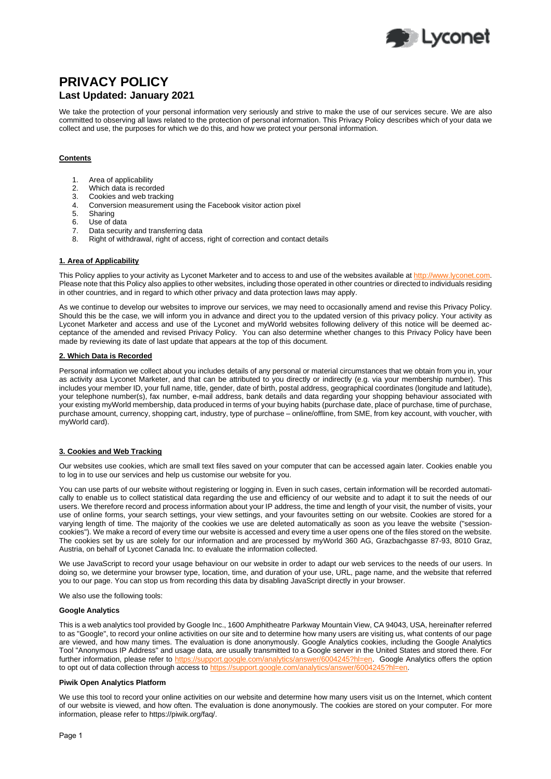

# **PRIVACY POLICY Last Updated: January 2021**

We take the protection of your personal information very seriously and strive to make the use of our services secure. We are also committed to observing all laws related to the protection of personal information. This Privacy Policy describes which of your data we collect and use, the purposes for which we do this, and how we protect your personal information.

# **Contents**

- 1. Area of applicability
- 2. Which data is recorded<br>3. Cookies and web tracki
- Cookies and web tracking
- 4. Conversion measurement using the Facebook visitor action pixel
- 5. Sharing
- 6. Use of data<br>7 Data securi
- 7. Data security and transferring data<br>8. Right of withdrawal, right of access
- Right of withdrawal, right of access, right of correction and contact details

# **1. Area of Applicability**

This Policy applies to your activity as Lyconet Marketer and to access to and use of the websites available a[t http://www.lyconet.com.](http://www.lyconet.com/) Please note that this Policy also applies to other websites, including those operated in other countries or directed to individuals residing in other countries, and in regard to which other privacy and data protection laws may apply.

As we continue to develop our websites to improve our services, we may need to occasionally amend and revise this Privacy Policy. Should this be the case, we will inform you in advance and direct you to the updated version of this privacy policy. Your activity as Lyconet Marketer and access and use of the Lyconet and myWorld websites following delivery of this notice will be deemed acceptance of the amended and revised Privacy Policy. You can also determine whether changes to this Privacy Policy have been made by reviewing its date of last update that appears at the top of this document.

### **2. Which Data is Recorded**

Personal information we collect about you includes details of any personal or material circumstances that we obtain from you in, your as activity asa Lyconet Marketer, and that can be attributed to you directly or indirectly (e.g. via your membership number). This includes your member ID, your full name, title, gender, date of birth, postal address, geographical coordinates (longitude and latitude), your telephone number(s), fax number, e-mail address, bank details and data regarding your shopping behaviour associated with your existing myWorld membership, data produced in terms of your buying habits (purchase date, place of purchase, time of purchase, purchase amount, currency, shopping cart, industry, type of purchase – online/offline, from SME, from key account, with voucher, with myWorld card).

# **3. Cookies and Web Tracking**

Our websites use cookies, which are small text files saved on your computer that can be accessed again later. Cookies enable you to log in to use our services and help us customise our website for you.

You can use parts of our website without registering or logging in. Even in such cases, certain information will be recorded automatically to enable us to collect statistical data regarding the use and efficiency of our website and to adapt it to suit the needs of our users. We therefore record and process information about your IP address, the time and length of your visit, the number of visits, your use of online forms, your search settings, your view settings, and your favourites setting on our website. Cookies are stored for a varying length of time. The majority of the cookies we use are deleted automatically as soon as you leave the website ("sessioncookies"). We make a record of every time our website is accessed and every time a user opens one of the files stored on the website. The cookies set by us are solely for our information and are processed by myWorld 360 AG, Grazbachgasse 87-93, 8010 Graz, Austria, on behalf of Lyconet Canada Inc. to evaluate the information collected.

We use JavaScript to record your usage behaviour on our website in order to adapt our web services to the needs of our users. In doing so, we determine your browser type, location, time, and duration of your use, URL, page name, and the website that referred you to our page. You can stop us from recording this data by disabling JavaScript directly in your browser.

We also use the following tools:

### **Google Analytics**

This is a web analytics tool provided by Google Inc., 1600 Amphitheatre Parkway Mountain View, CA 94043, USA, hereinafter referred to as "Google", to record your online activities on our site and to determine how many users are visiting us, what contents of our page are viewed, and how many times. The evaluation is done anonymously. Google Analytics cookies, including the Google Analytics Tool "Anonymous IP Address" and usage data, are usually transmitted to a Google server in the United States and stored there. For further information, please refer to [https://support.google.com/analytics/answer/6004245?hl=en.](https://support.google.com/analytics/answer/6004245?hl=en) Google Analytics offers the option to opt out of data collection through access to https://support.google.com/analytics/answer/6004245?hl=en.

#### **Piwik Open Analytics Platform**

We use this tool to record your online activities on our website and determine how many users visit us on the Internet, which content of our website is viewed, and how often. The evaluation is done anonymously. The cookies are stored on your computer. For more information, please refer to https://piwik.org/faq/.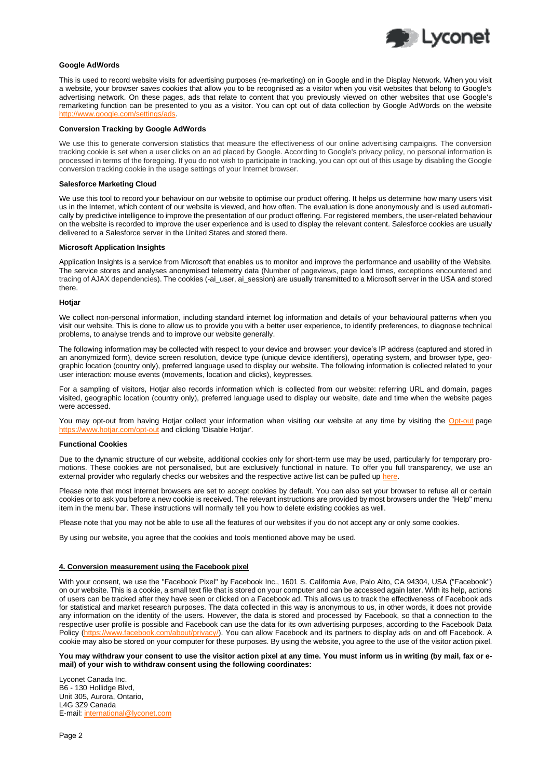

### **Google AdWords**

This is used to record website visits for advertising purposes (re-marketing) on in Google and in the Display Network. When you visit a website, your browser saves cookies that allow you to be recognised as a visitor when you visit websites that belong to Google's advertising network. On these pages, ads that relate to content that you previously viewed on other websites that use Google's remarketing function can be presented to you as a visitor. You can opt out of data collection by Google AdWords on the website [http://www.google.com/settings/ads.](http://www.google.com/settings/ads) 

#### **Conversion Tracking by Google AdWords**

We use this to generate conversion statistics that measure the effectiveness of our online advertising campaigns. The conversion tracking cookie is set when a user clicks on an ad placed by Google. According to Google's privacy policy, no personal information is processed in terms of the foregoing. If you do not wish to participate in tracking, you can opt out of this usage by disabling the Google conversion tracking cookie in the usage settings of your Internet browser.

#### **Salesforce Marketing Cloud**

We use this tool to record your behaviour on our website to optimise our product offering. It helps us determine how many users visit us in the Internet, which content of our website is viewed, and how often. The evaluation is done anonymously and is used automatically by predictive intelligence to improve the presentation of our product offering. For registered members, the user-related behaviour on the website is recorded to improve the user experience and is used to display the relevant content. Salesforce cookies are usually delivered to a Salesforce server in the United States and stored there.

#### **Microsoft Application Insights**

Application Insights is a service from Microsoft that enables us to monitor and improve the performance and usability of the Website. The service stores and analyses anonymised telemetry data (Number of pageviews, page load times, exceptions encountered and tracing of AJAX dependencies). The cookies (-ai\_user, ai\_session) are usually transmitted to a Microsoft server in the USA and stored there.

#### **Hotjar**

We collect non-personal information, including standard internet log information and details of your behavioural patterns when you visit our website. This is done to allow us to provide you with a better user experience, to identify preferences, to diagnose technical problems, to analyse trends and to improve our website generally.

The following information may be collected with respect to your device and browser: your device's IP address (captured and stored in an anonymized form), device screen resolution, device type (unique device identifiers), operating system, and browser type, geographic location (country only), preferred language used to display our website. The following information is collected related to your user interaction: mouse events (movements, location and clicks), keypresses.

For a sampling of visitors, Hotjar also records information which is collected from our website: referring URL and domain, pages visited, geographic location (country only), preferred language used to display our website, date and time when the website pages were accessed.

You may opt-out from having Hotjar collect your information when visiting our website at any time by visiting the [Opt-out](https://www.hotjar.com/opt-out) page om/opt-out and clicking 'Disable Hotjar'.

#### **Functional Cookies**

Due to the dynamic structure of our website, additional cookies only for short-term use may be used, particularly for temporary promotions. These cookies are not personalised, but are exclusively functional in nature. To offer you full transparency, we use an external provider who regularly checks our websites and the respective active list can be pulled u[p here.](https://l.mwscdn.io/large/download/public/agreements/linksprivacypolicy/privacy_policy_functional_cookies.pdf)

Please note that most internet browsers are set to accept cookies by default. You can also set your browser to refuse all or certain cookies or to ask you before a new cookie is received. The relevant instructions are provided by most browsers under the "Help" menu item in the menu bar. These instructions will normally tell you how to delete existing cookies as well.

Please note that you may not be able to use all the features of our websites if you do not accept any or only some cookies.

By using our website, you agree that the cookies and tools mentioned above may be used.

#### **4. Conversion measurement using the Facebook pixel**

With your consent, we use the "Facebook Pixel" by Facebook Inc., 1601 S. California Ave, Palo Alto, CA 94304, USA ("Facebook") on our website. This is a cookie, a small text file that is stored on your computer and can be accessed again later. With its help, actions of users can be tracked after they have seen or clicked on a Facebook ad. This allows us to track the effectiveness of Facebook ads for statistical and market research purposes. The data collected in this way is anonymous to us, in other words, it does not provide any information on the identity of the users. However, the data is stored and processed by Facebook, so that a connection to the respective user profile is possible and Facebook can use the data for its own advertising purposes, according to the Facebook Data Policy [\(https://www.facebook.com/about/privacy/\)](https://www.facebook.com/about/privacy/). You can allow Facebook and its partners to display ads on and off Facebook. A cookie may also be stored on your computer for these purposes. By using the website, you agree to the use of the visitor action pixel.

**You may withdraw your consent to use the visitor action pixel at any time. You must inform us in writing (by mail, fax or email) of your wish to withdraw consent using the following coordinates:**

Lyconet Canada Inc. B6 - 130 Hollidge Blvd, Unit 305, Aurora, Ontario, L4G 3Z9 Canada E-mail: [international@lyconet.com](mailto:international@lyconet.com)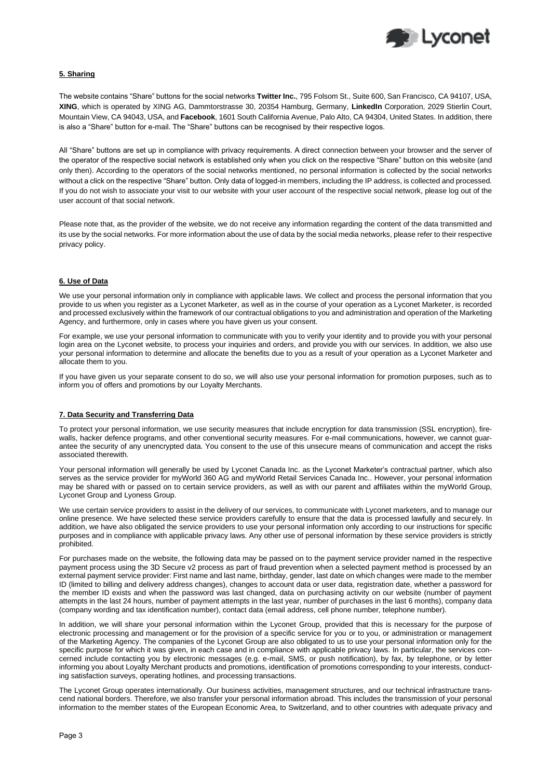

# **5. Sharing**

The website contains "Share" buttons for the social networks **Twitter Inc.**, 795 Folsom St., Suite 600, San Francisco, CA 94107, USA, **XING**, which is operated by XING AG, Dammtorstrasse 30, 20354 Hamburg, Germany, **LinkedIn** Corporation, 2029 Stierlin Court, Mountain View, CA 94043, USA, and **Facebook**, 1601 South California Avenue, Palo Alto, CA 94304, United States. In addition, there is also a "Share" button for e-mail. The "Share" buttons can be recognised by their respective logos.

All "Share" buttons are set up in compliance with privacy requirements. A direct connection between your browser and the server of the operator of the respective social network is established only when you click on the respective "Share" button on this website (and only then). According to the operators of the social networks mentioned, no personal information is collected by the social networks without a click on the respective "Share" button. Only data of logged-in members, including the IP address, is collected and processed. If you do not wish to associate your visit to our website with your user account of the respective social network, please log out of the user account of that social network.

Please note that, as the provider of the website, we do not receive any information regarding the content of the data transmitted and its use by the social networks. For more information about the use of data by the social media networks, please refer to their respective privacy policy.

### **6. Use of Data**

We use your personal information only in compliance with applicable laws. We collect and process the personal information that you provide to us when you register as a Lyconet Marketer, as well as in the course of your operation as a Lyconet Marketer, is recorded and processed exclusively within the framework of our contractual obligations to you and administration and operation of the Marketing Agency, and furthermore, only in cases where you have given us your consent.

For example, we use your personal information to communicate with you to verify your identity and to provide you with your personal login area on the Lyconet website, to process your inquiries and orders, and provide you with our services. In addition, we also use your personal information to determine and allocate the benefits due to you as a result of your operation as a Lyconet Marketer and allocate them to you.

If you have given us your separate consent to do so, we will also use your personal information for promotion purposes, such as to inform you of offers and promotions by our Loyalty Merchants.

### **7. Data Security and Transferring Data**

To protect your personal information, we use security measures that include encryption for data transmission (SSL encryption), firewalls, hacker defence programs, and other conventional security measures. For e-mail communications, however, we cannot guarantee the security of any unencrypted data. You consent to the use of this unsecure means of communication and accept the risks associated therewith.

Your personal information will generally be used by Lyconet Canada Inc. as the Lyconet Marketer's contractual partner, which also serves as the service provider for myWorld 360 AG and myWorld Retail Services Canada Inc.. However, your personal information may be shared with or passed on to certain service providers, as well as with our parent and affiliates within the myWorld Group, Lyconet Group and Lyoness Group.

We use certain service providers to assist in the delivery of our services, to communicate with Lyconet marketers, and to manage our online presence. We have selected these service providers carefully to ensure that the data is processed lawfully and securely. In addition, we have also obligated the service providers to use your personal information only according to our instructions for specific purposes and in compliance with applicable privacy laws. Any other use of personal information by these service providers is strictly prohibited.

For purchases made on the website, the following data may be passed on to the payment service provider named in the respective payment process using the 3D Secure v2 process as part of fraud prevention when a selected payment method is processed by an external payment service provider: First name and last name, birthday, gender, last date on which changes were made to the member ID (limited to billing and delivery address changes), changes to account data or user data, registration date, whether a password for the member ID exists and when the password was last changed, data on purchasing activity on our website (number of payment attempts in the last 24 hours, number of payment attempts in the last year, number of purchases in the last 6 months), company data (company wording and tax identification number), contact data (email address, cell phone number, telephone number).

In addition, we will share your personal information within the Lyconet Group, provided that this is necessary for the purpose of electronic processing and management or for the provision of a specific service for you or to you, or administration or management of the Marketing Agency. The companies of the Lyconet Group are also obligated to us to use your personal information only for the specific purpose for which it was given, in each case and in compliance with applicable privacy laws. In particular, the services concerned include contacting you by electronic messages (e.g. e-mail, SMS, or push notification), by fax, by telephone, or by letter informing you about Loyalty Merchant products and promotions, identification of promotions corresponding to your interests, conducting satisfaction surveys, operating hotlines, and processing transactions.

The Lyconet Group operates internationally. Our business activities, management structures, and our technical infrastructure transcend national borders. Therefore, we also transfer your personal information abroad. This includes the transmission of your personal information to the member states of the European Economic Area, to Switzerland, and to other countries with adequate privacy and